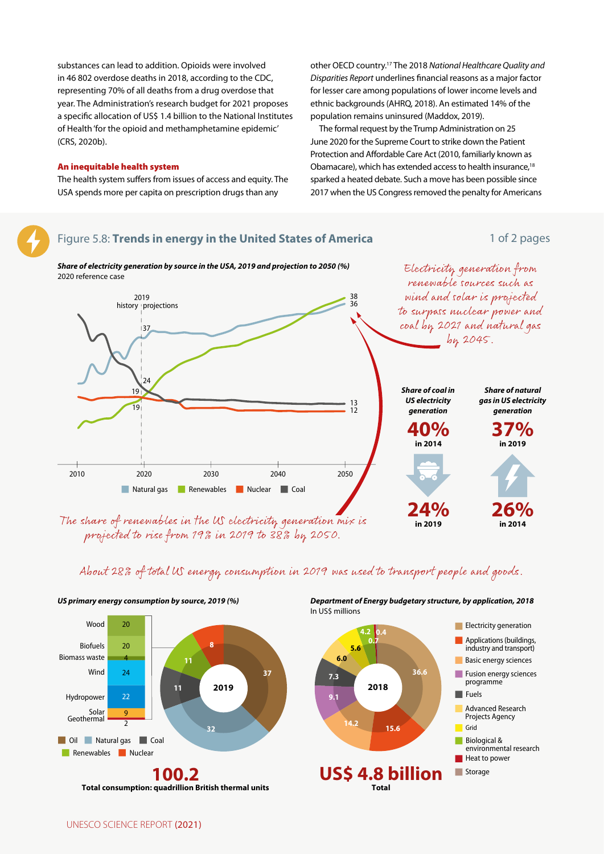

## About 28% of total US energy consumption in 2019 was used to transport people and goods.



Department of Energy budgetary structure, by application, 2018

 $\blacksquare$  Electricity generation

**Basic energy sciences** 

**Advanced Research** 

environmental research

Projects Agency

**Biological &** 

Heat to power

programme

 $\blacksquare$  Fuels

Grid

Storage

Applications (buildings,

industry and transport)

Fusion energy sciences

US primary energy consumption by source, 2019 (%)